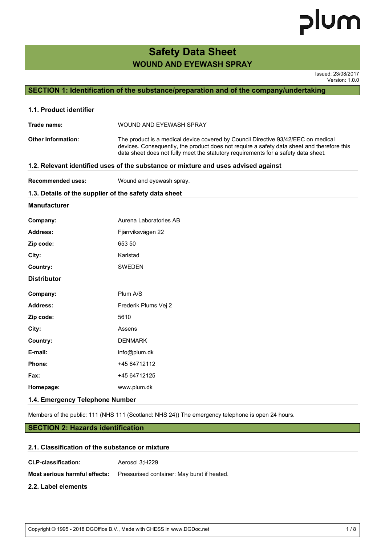## **WOUND AND EYEWASH SPRAY Safety Data Sheet**

Issued: 23/08/2017 Version: 1.0.0

## **SECTION 1: Identification of the substance/preparation and of the company/undertaking**

| 1.1. Product identifier   |                                                                                                                                                                                                                                                                       |  |  |
|---------------------------|-----------------------------------------------------------------------------------------------------------------------------------------------------------------------------------------------------------------------------------------------------------------------|--|--|
| Trade name:               | WOUND AND EYEWASH SPRAY                                                                                                                                                                                                                                               |  |  |
| <b>Other Information:</b> | The product is a medical device covered by Council Directive 93/42/EEC on medical<br>devices. Consequently, the product does not require a safety data sheet and therefore this<br>data sheet does not fully meet the statutory requirements for a safety data sheet. |  |  |
|                           | 1.2. Relevant identified uses of the substance or mixture and uses advised against                                                                                                                                                                                    |  |  |
| <b>Recommended uses:</b>  | Wound and eyewash spray.                                                                                                                                                                                                                                              |  |  |
|                           | 1.3. Details of the supplier of the safety data sheet                                                                                                                                                                                                                 |  |  |
| <b>Manufacturer</b>       |                                                                                                                                                                                                                                                                       |  |  |
| Company:                  | Aurena Laboratories AB                                                                                                                                                                                                                                                |  |  |
| <b>Address:</b>           | Fjärrviksvägen 22                                                                                                                                                                                                                                                     |  |  |
| Zip code:                 | 653 50                                                                                                                                                                                                                                                                |  |  |
| City:                     | Karlstad                                                                                                                                                                                                                                                              |  |  |
| Country:                  | <b>SWEDEN</b>                                                                                                                                                                                                                                                         |  |  |
| <b>Distributor</b>        |                                                                                                                                                                                                                                                                       |  |  |
| Company:                  | Plum A/S                                                                                                                                                                                                                                                              |  |  |
| Address:                  | Frederik Plums Vej 2                                                                                                                                                                                                                                                  |  |  |
| Zip code:                 | 5610                                                                                                                                                                                                                                                                  |  |  |
| City:                     | Assens                                                                                                                                                                                                                                                                |  |  |
| Country:                  | <b>DENMARK</b>                                                                                                                                                                                                                                                        |  |  |
| E-mail:                   | info@plum.dk                                                                                                                                                                                                                                                          |  |  |
| Phone:                    | +45 64712112                                                                                                                                                                                                                                                          |  |  |
| <b>Fax:</b>               | +45 64712125                                                                                                                                                                                                                                                          |  |  |
| Homepage:                 | www.plum.dk                                                                                                                                                                                                                                                           |  |  |
|                           |                                                                                                                                                                                                                                                                       |  |  |

## **1.4. Emergency Telephone Number**

Members of the public: 111 (NHS 111 (Scotland: NHS 24)) The emergency telephone is open 24 hours.

## **SECTION 2: Hazards identification**

### **2.1. Classification of the substance or mixture**

**CLP-classification:** Aerosol 3;H229

**Most serious harmful effects:** Pressurised container: May burst if heated.

#### **2.2. Label elements**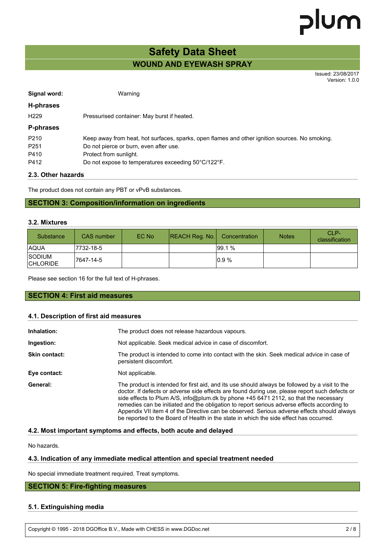## **WOUND AND EYEWASH SPRAY Safety Data Sheet**

Issued: 23/08/2017 Version: 1.0.0

| Signal word:     | Warning                                                                                        |
|------------------|------------------------------------------------------------------------------------------------|
| H-phrases        |                                                                                                |
| H <sub>229</sub> | Pressurised container: May burst if heated.                                                    |
| P-phrases        |                                                                                                |
| P <sub>210</sub> | Keep away from heat, hot surfaces, sparks, open flames and other ignition sources. No smoking. |
| P <sub>251</sub> | Do not pierce or burn, even after use.                                                         |
| P410             | Protect from sunlight.                                                                         |
| P412             | Do not expose to temperatures exceeding 50°C/122°F.                                            |

## **2.3. Other hazards**

The product does not contain any PBT or vPvB substances.

## **SECTION 3: Composition/information on ingredients**

#### **3.2. Mixtures**

| Substance                        | <b>CAS</b> number | EC No | REACH Reg. No. | Concentration | <b>Notes</b> | CLP-<br>classification |
|----------------------------------|-------------------|-------|----------------|---------------|--------------|------------------------|
| <b>AQUA</b>                      | 7732-18-5         |       |                | 99.1%         |              |                        |
| <b>SODIUM</b><br><b>CHLORIDE</b> | 17647-14-5        |       |                | 0.9%          |              |                        |

Please see section 16 for the full text of H-phrases.

## **SECTION 4: First aid measures**

#### **4.1. Description of first aid measures**

| Inhalation:          | The product does not release hazardous vapours.                                                                                                                                                                                                                                                                                                                                                                                                                                                                                                                                  |  |  |
|----------------------|----------------------------------------------------------------------------------------------------------------------------------------------------------------------------------------------------------------------------------------------------------------------------------------------------------------------------------------------------------------------------------------------------------------------------------------------------------------------------------------------------------------------------------------------------------------------------------|--|--|
| Ingestion:           | Not applicable. Seek medical advice in case of discomfort.                                                                                                                                                                                                                                                                                                                                                                                                                                                                                                                       |  |  |
| <b>Skin contact:</b> | The product is intended to come into contact with the skin. Seek medical advice in case of<br>persistent discomfort.                                                                                                                                                                                                                                                                                                                                                                                                                                                             |  |  |
| Eye contact:         | Not applicable.                                                                                                                                                                                                                                                                                                                                                                                                                                                                                                                                                                  |  |  |
| General:             | The product is intended for first aid, and its use should always be followed by a visit to the<br>doctor. If defects or adverse side effects are found during use, please report such defects or<br>side effects to Plum A/S, info@plum.dk by phone +45 6471 2112, so that the necessary<br>remedies can be initiated and the obligation to report serious adverse effects according to<br>Appendix VII item 4 of the Directive can be observed. Serious adverse effects should always<br>be reported to the Board of Health in the state in which the side effect has occurred. |  |  |

#### **4.2. Most important symptoms and effects, both acute and delayed**

No hazards.

### **4.3. Indication of any immediate medical attention and special treatment needed**

No special immediate treatment required. Treat symptoms.

## **SECTION 5: Fire-fighting measures**

## **5.1. Extinguishing media**

Copyright © 1995 - 2018 DGOffice B.V., Made with CHESS in www.DGDoc.net 2 / 8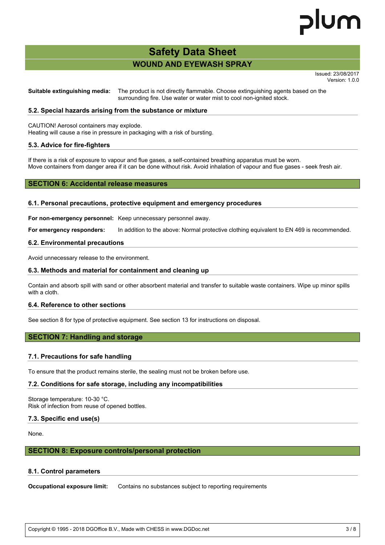# lum

## **WOUND AND EYEWASH SPRAY Safety Data Sheet**

Issued: 23/08/2017 Version: 1.0.0

**Suitable extinguishing media:** The product is not directly flammable. Choose extinguishing agents based on the surrounding fire. Use water or water mist to cool non-ignited stock.

## **5.2. Special hazards arising from the substance or mixture**

CAUTION! Aerosol containers may explode.

Heating will cause a rise in pressure in packaging with a risk of bursting.

## **5.3. Advice for fire-fighters**

If there is a risk of exposure to vapour and flue gases, a self-contained breathing apparatus must be worn. Move containers from danger area if it can be done without risk. Avoid inhalation of vapour and flue gases - seek fresh air.

## **SECTION 6: Accidental release measures**

#### **6.1. Personal precautions, protective equipment and emergency procedures**

**For non-emergency personnel:** Keep unnecessary personnel away.

**For emergency responders:** In addition to the above: Normal protective clothing equivalent to EN 469 is recommended.

#### **6.2. Environmental precautions**

Avoid unnecessary release to the environment.

## **6.3. Methods and material for containment and cleaning up**

Contain and absorb spill with sand or other absorbent material and transfer to suitable waste containers. Wipe up minor spills with a cloth.

## **6.4. Reference to other sections**

See section 8 for type of protective equipment. See section 13 for instructions on disposal.

## **SECTION 7: Handling and storage**

## **7.1. Precautions for safe handling**

To ensure that the product remains sterile, the sealing must not be broken before use.

#### **7.2. Conditions for safe storage, including any incompatibilities**

Storage temperature: 10-30 °C. Risk of infection from reuse of opened bottles.

## **7.3. Specific end use(s)**

None.

## **SECTION 8: Exposure controls/personal protection**

#### **8.1. Control parameters**

**Occupational exposure limit:** Contains no substances subject to reporting requirements

Copyright © 1995 - 2018 DGOffice B.V., Made with CHESS in www.DGDoc.net 3 / 8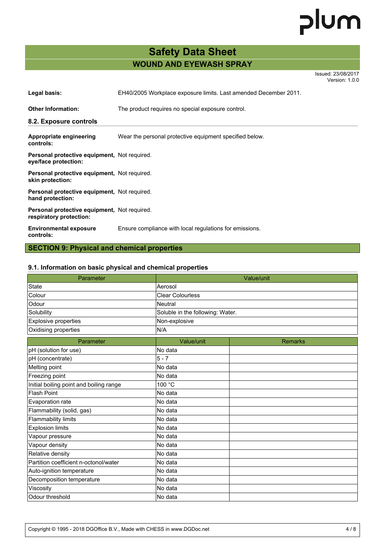# **WOUND AND EYEWASH SPRAY Safety Data Sheet**

Issued: 23/08/2017 Version: 1.0.0

| Legal basis:                                                                   | EH40/2005 Workplace exposure limits. Last amended December 2011. |  |  |  |
|--------------------------------------------------------------------------------|------------------------------------------------------------------|--|--|--|
| <b>Other Information:</b>                                                      | The product requires no special exposure control.                |  |  |  |
| 8.2. Exposure controls                                                         |                                                                  |  |  |  |
| Appropriate engineering<br>controls:                                           | Wear the personal protective equipment specified below.          |  |  |  |
| <b>Personal protective equipment, Not required.</b><br>eye/face protection:    |                                                                  |  |  |  |
| Personal protective equipment, Not required.<br>skin protection:               |                                                                  |  |  |  |
| <b>Personal protective equipment, Not required.</b><br>hand protection:        |                                                                  |  |  |  |
| <b>Personal protective equipment, Not required.</b><br>respiratory protection: |                                                                  |  |  |  |
| <b>Environmental exposure</b><br>controls:                                     | Ensure compliance with local regulations for emissions.          |  |  |  |

## **SECTION 9: Physical and chemical properties**

## **9.1. Information on basic physical and chemical properties**

| Parameter                               |                                  | Value/unit     |
|-----------------------------------------|----------------------------------|----------------|
| <b>State</b>                            | Aerosol                          |                |
| Colour                                  | <b>Clear Colourless</b>          |                |
| Odour                                   | <b>Neutral</b>                   |                |
| Solubility                              | Soluble in the following: Water. |                |
| Explosive properties                    | Non-explosive                    |                |
| Oxidising properties                    | N/A                              |                |
| Parameter                               | Value/unit                       | <b>Remarks</b> |
| pH (solution for use)                   | No data                          |                |
| pH (concentrate)                        | $5 - 7$                          |                |
| Melting point                           | No data                          |                |
| Freezing point                          | No data                          |                |
| Initial boiling point and boiling range | 100 °C                           |                |
| <b>Flash Point</b>                      | No data                          |                |
| Evaporation rate                        | No data                          |                |
| Flammability (solid, gas)               | No data                          |                |
| <b>Flammability limits</b>              | No data                          |                |
| <b>Explosion limits</b>                 | No data                          |                |
| Vapour pressure                         | No data                          |                |
| Vapour density                          | No data                          |                |
| Relative density                        | No data                          |                |
| Partition coefficient n-octonol/water   | No data                          |                |
| Auto-ignition temperature               | No data                          |                |
| Decomposition temperature               | No data                          |                |
| Viscosity                               | No data                          |                |
| Odour threshold                         | No data                          |                |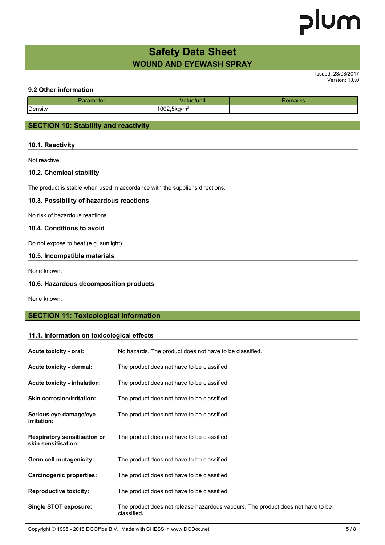## **WOUND AND EYEWASH SPRAY Safety Data Sheet**

Issued: 23/08/2017 Version: 1.0.0

## **9.2 Other information**

|              | unu                                 | 21 N.S |  |
|--------------|-------------------------------------|--------|--|
| r<br>Density | - -<br>1002<br>.,5kg/m <sup>3</sup> |        |  |

## **SECTION 10: Stability and reactivity**

## **10.1. Reactivity**

Not reactive.

## **10.2. Chemical stability**

The product is stable when used in accordance with the supplier's directions.

## **10.3. Possibility of hazardous reactions**

No risk of hazardous reactions.

## **10.4. Conditions to avoid**

Do not expose to heat (e.g. sunlight).

## **10.5. Incompatible materials**

None known.

## **10.6. Hazardous decomposition products**

None known.

## **SECTION 11: Toxicological information**

## **11.1. Information on toxicological effects**

| Acute toxicity - oral:                                     | No hazards. The product does not have to be classified.                                        |
|------------------------------------------------------------|------------------------------------------------------------------------------------------------|
| Acute toxicity - dermal:                                   | The product does not have to be classified.                                                    |
| <b>Acute toxicity - inhalation:</b>                        | The product does not have to be classified.                                                    |
| <b>Skin corrosion/irritation:</b>                          | The product does not have to be classified.                                                    |
| Serious eye damage/eye<br><i>irritation:</i>               | The product does not have to be classified.                                                    |
| <b>Respiratory sensitisation or</b><br>skin sensitisation: | The product does not have to be classified.                                                    |
| Germ cell mutagenicity:                                    | The product does not have to be classified.                                                    |
| <b>Carcinogenic properties:</b>                            | The product does not have to be classified.                                                    |
| <b>Reproductive toxicity:</b>                              | The product does not have to be classified.                                                    |
| <b>Single STOT exposure:</b>                               | The product does not release hazardous vapours. The product does not have to be<br>classified. |

Copyright © 1995 - 2018 DGOffice B.V., Made with CHESS in www.DGDoc.net 5 / 8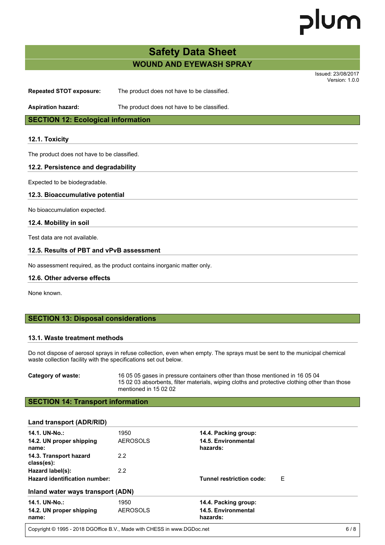# lum

## **WOUND AND EYEWASH SPRAY Safety Data Sheet**

Issued: 23/08/2017 Version: 1.0.0

**Repeated STOT exposure:** The product does not have to be classified.

**Aspiration hazard:** The product does not have to be classified.

**SECTION 12: Ecological information**

## **12.1. Toxicity**

The product does not have to be classified.

## **12.2. Persistence and degradability**

Expected to be biodegradable.

## **12.3. Bioaccumulative potential**

No bioaccumulation expected.

## **12.4. Mobility in soil**

Test data are not available.

## **12.5. Results of PBT and vPvB assessment**

No assessment required, as the product contains inorganic matter only.

## **12.6. Other adverse effects**

None known.

## **SECTION 13: Disposal considerations**

## **13.1. Waste treatment methods**

Do not dispose of aerosol sprays in refuse collection, even when empty. The sprays must be sent to the municipal chemical waste collection facility with the specifications set out below.

**Category of waste:** 16 05 05 gases in pressure containers other than those mentioned in 16 05 04 15 02 03 absorbents, filter materials, wiping cloths and protective clothing other than those mentioned in 15 02 02

## **SECTION 14: Transport information**

| Land transport (ADR/RID)             |                 |                                 |   |
|--------------------------------------|-----------------|---------------------------------|---|
| 14.1. UN-No.:                        | 1950            | 14.4. Packing group:            |   |
| 14.2. UN proper shipping<br>name:    | AEROSOLS        | 14.5. Environmental<br>hazards: |   |
| 14.3. Transport hazard<br>class(es): | 2.2             |                                 |   |
| Hazard label(s):                     | 2.2             |                                 |   |
| Hazard identification number:        |                 | <b>Tunnel restriction code:</b> | Ε |
| Inland water ways transport (ADN)    |                 |                                 |   |
| 14.1. UN-No.:                        | 1950            | 14.4. Packing group:            |   |
| 14.2. UN proper shipping<br>name:    | <b>AEROSOLS</b> | 14.5. Environmental<br>hazards: |   |
|                                      |                 |                                 |   |

Copyright © 1995 - 2018 DGOffice B.V., Made with CHESS in www.DGDoc.net 6/8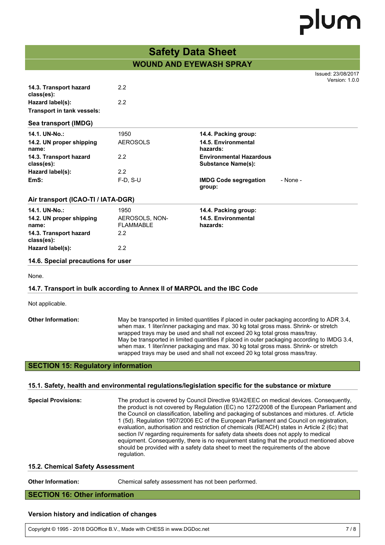## **WOUND AND EYEWASH SPRAY Safety Data Sheet**

|                                      |                                    |                                                             |          | Issued: 23/08/2017<br>Version: 1.0.0 |
|--------------------------------------|------------------------------------|-------------------------------------------------------------|----------|--------------------------------------|
| 14.3. Transport hazard<br>class(es): | 2.2                                |                                                             |          |                                      |
| Hazard label(s):                     | 2.2                                |                                                             |          |                                      |
| Transport in tank vessels:           |                                    |                                                             |          |                                      |
| Sea transport (IMDG)                 |                                    |                                                             |          |                                      |
| 14.1. UN-No.:                        | 1950                               | 14.4. Packing group:                                        |          |                                      |
| 14.2. UN proper shipping<br>name:    | <b>AEROSOLS</b>                    | 14.5. Environmental<br>hazards:                             |          |                                      |
| 14.3. Transport hazard<br>class(es): | 2.2                                | <b>Environmental Hazardous</b><br><b>Substance Name(s):</b> |          |                                      |
| Hazard label(s):                     | 2.2                                |                                                             |          |                                      |
| EmS:                                 | $F-D, S-U$                         | <b>IMDG Code segregation</b><br>group:                      | - None - |                                      |
| Air transport (ICAO-TI / IATA-DGR)   |                                    |                                                             |          |                                      |
| 14.1. UN-No.:                        | 1950                               | 14.4. Packing group:                                        |          |                                      |
| 14.2. UN proper shipping<br>name:    | AEROSOLS, NON-<br><b>FLAMMABLE</b> | 14.5. Environmental<br>hazards:                             |          |                                      |
| 14.3. Transport hazard<br>class(es): | 2.2                                |                                                             |          |                                      |
| Hazard label(s):                     | 2.2                                |                                                             |          |                                      |
| 14.6. Special precautions for user   |                                    |                                                             |          |                                      |
| None.                                |                                    |                                                             |          |                                      |

## **14.7. Transport in bulk according to Annex II of MARPOL and the IBC Code**

Not applicable.

**Other Information:** May be transported in limited quantities if placed in outer packaging according to ADR 3.4, when max. 1 liter/inner packaging and max. 30 kg total gross mass. Shrink- or stretch wrapped trays may be used and shall not exceed 20 kg total gross mass/tray. May be transported in limited quantities if placed in outer packaging according to IMDG 3.4, when max. 1 liter/inner packaging and max. 30 kg total gross mass. Shrink- or stretch wrapped trays may be used and shall not exceed 20 kg total gross mass/tray.

## **SECTION 15: Regulatory information**

## **15.1. Safety, health and environmental regulations/legislation specific for the substance or mixture**

| <b>Special Provisions:</b> | The product is covered by Council Directive 93/42/EEC on medical devices. Consequently,<br>the product is not covered by Regulation (EC) no 1272/2008 of the European Parliament and<br>the Council on classification, labelling and packaging of substances and mixtures. cf. Article<br>1 (5d). Regulation 1907/2006 EC of the European Parliament and Council on registration,<br>evaluation, authorisation and restriction of chemicals (REACH) states in Article 2 (6c) that<br>section IV regarding requirements for safety data sheets does not apply to medical<br>equipment. Consequently, there is no requirement stating that the product mentioned above<br>should be provided with a safety data sheet to meet the requirements of the above<br>regulation. |
|----------------------------|--------------------------------------------------------------------------------------------------------------------------------------------------------------------------------------------------------------------------------------------------------------------------------------------------------------------------------------------------------------------------------------------------------------------------------------------------------------------------------------------------------------------------------------------------------------------------------------------------------------------------------------------------------------------------------------------------------------------------------------------------------------------------|
|----------------------------|--------------------------------------------------------------------------------------------------------------------------------------------------------------------------------------------------------------------------------------------------------------------------------------------------------------------------------------------------------------------------------------------------------------------------------------------------------------------------------------------------------------------------------------------------------------------------------------------------------------------------------------------------------------------------------------------------------------------------------------------------------------------------|

## **15.2. Chemical Safety Assessment**

**Other Information:** Chemical safety assessment has not been performed.

## **SECTION 16: Other information**

## **Version history and indication of changes**

Copyright © 1995 - 2018 DGOffice B.V., Made with CHESS in www.DGDoc.net 7 / 8